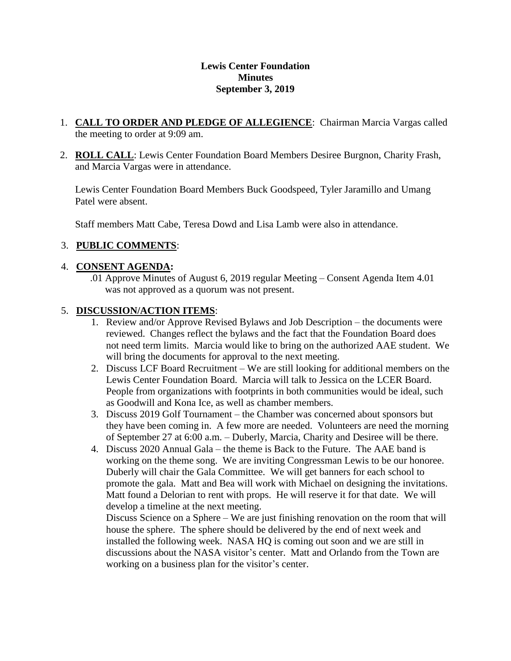#### **Lewis Center Foundation Minutes September 3, 2019**

- 1. **CALL TO ORDER AND PLEDGE OF ALLEGIENCE**: Chairman Marcia Vargas called the meeting to order at 9:09 am.
- 2. **ROLL CALL**: Lewis Center Foundation Board Members Desiree Burgnon, Charity Frash, and Marcia Vargas were in attendance.

Lewis Center Foundation Board Members Buck Goodspeed, Tyler Jaramillo and Umang Patel were absent.

Staff members Matt Cabe, Teresa Dowd and Lisa Lamb were also in attendance.

## 3. **PUBLIC COMMENTS**:

### 4. **CONSENT AGENDA:**

.01 Approve Minutes of August 6, 2019 regular Meeting – Consent Agenda Item 4.01 was not approved as a quorum was not present.

### 5. **DISCUSSION/ACTION ITEMS**:

- 1. Review and/or Approve Revised Bylaws and Job Description the documents were reviewed. Changes reflect the bylaws and the fact that the Foundation Board does not need term limits. Marcia would like to bring on the authorized AAE student. We will bring the documents for approval to the next meeting.
- 2. Discuss LCF Board Recruitment We are still looking for additional members on the Lewis Center Foundation Board. Marcia will talk to Jessica on the LCER Board. People from organizations with footprints in both communities would be ideal, such as Goodwill and Kona Ice, as well as chamber members.
- 3. Discuss 2019 Golf Tournament the Chamber was concerned about sponsors but they have been coming in. A few more are needed. Volunteers are need the morning of September 27 at 6:00 a.m. – Duberly, Marcia, Charity and Desiree will be there.
- 4. Discuss 2020 Annual Gala the theme is Back to the Future. The AAE band is working on the theme song. We are inviting Congressman Lewis to be our honoree. Duberly will chair the Gala Committee. We will get banners for each school to promote the gala. Matt and Bea will work with Michael on designing the invitations. Matt found a Delorian to rent with props. He will reserve it for that date. We will develop a timeline at the next meeting.

Discuss Science on a Sphere – We are just finishing renovation on the room that will house the sphere. The sphere should be delivered by the end of next week and installed the following week. NASA HQ is coming out soon and we are still in discussions about the NASA visitor's center. Matt and Orlando from the Town are working on a business plan for the visitor's center.